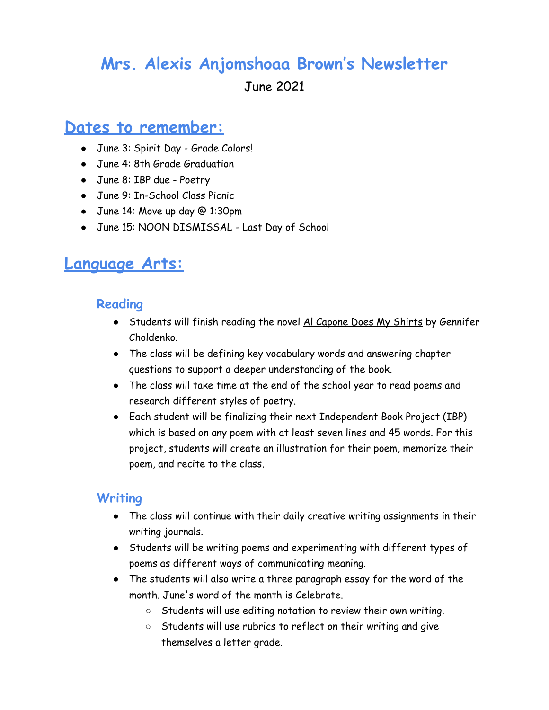## **Mrs. Alexis Anjomshoaa Brown's Newsletter**

June 2021

### **Dates to remember:**

- June 3: Spirit Day Grade Colors!
- June 4: 8th Grade Graduation
- June 8: IBP due Poetry
- June 9: In-School Class Picnic
- June 14: Move up day @ 1:30pm
- June 15: NOON DISMISSAL Last Day of School

## **Language Arts:**

#### **Reading**

- Students will finish reading the novel Al Capone Does My Shirts by Gennifer Choldenko.
- The class will be defining key vocabulary words and answering chapter questions to support a deeper understanding of the book.
- The class will take time at the end of the school year to read poems and research different styles of poetry.
- Each student will be finalizing their next Independent Book Project (IBP) which is based on any poem with at least seven lines and 45 words. For this project, students will create an illustration for their poem, memorize their poem, and recite to the class.

#### **Writing**

- The class will continue with their daily creative writing assignments in their writing journals.
- Students will be writing poems and experimenting with different types of poems as different ways of communicating meaning.
- The students will also write a three paragraph essay for the word of the month. June's word of the month is Celebrate.
	- Students will use editing notation to review their own writing.
	- Students will use rubrics to reflect on their writing and give themselves a letter grade.